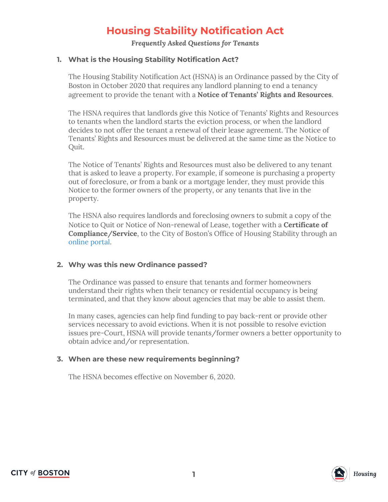# **Housing Stability Notification Act**

*Frequently Asked Questions for Tenants*

#### **1. What is the Housing Stability Notification Act?**

The Housing Stability Notification Act (HSNA) is an Ordinance passed by the City of Boston in October 2020 that requires any landlord planning to end a tenancy agreement to provide the tenant with a **Notice of Tenants' Rights and Resources**.

The HSNA requires that landlords give this Notice of Tenants' Rights and Resources to tenants when the landlord starts the eviction process, or when the landlord decides to not offer the tenant a renewal of their lease agreement. The Notice of Tenants' Rights and Resources must be delivered at the same time as the Notice to Quit.

The Notice of Tenants' Rights and Resources must also be delivered to any tenant that is asked to leave a property. For example, if someone is purchasing a property out of foreclosure, or from a bank or a mortgage lender, they must provide this Notice to the former owners of the property, or any tenants that live in the property.

The HSNA also requires landlords and foreclosing owners to submit a copy of the Notice to Quit or Notice of Non-renewal of Lease, together with a **Certificate of Compliance/Service**, to the City of Boston's Office of Housing Stability through an [online](https://boston.nxone.com/ApplicationBuilder/eFormRender.html?code=AA5A12F761F5622411BB43A1BACC44C6&Process=DNDHSNA) portal.

#### **2. Why was this new Ordinance passed?**

The Ordinance was passed to ensure that tenants and former homeowners understand their rights when their tenancy or residential occupancy is being terminated, and that they know about agencies that may be able to assist them.

In many cases, agencies can help find funding to pay back-rent or provide other services necessary to avoid evictions. When it is not possible to resolve eviction issues pre-Court, HSNA will provide tenants/former owners a better opportunity to obtain advice and/or representation.

### **3. When are these new requirements beginning?**

The HSNA becomes effective on November 6, 2020.

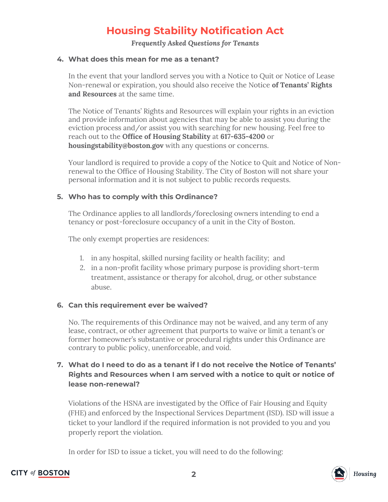# **Housing Stability Notification Act**

*Frequently Asked Questions for Tenants*

### **4. What does this mean for me as a tenant?**

In the event that your landlord serves you with a Notice to Quit or Notice of Lease Non-renewal or expiration, you should also receive the Notice **of Tenants' Rights and Resources** at the same time.

The Notice of Tenants' Rights and Resources will explain your rights in an eviction and provide information about agencies that may be able to assist you during the eviction process and/or assist you with searching for new housing. Feel free to reach out to the **Office of Housing Stability** at **617-635-4200** or **housingstability@boston.gov** with any questions or concerns.

Your landlord is required to provide a copy of the Notice to Quit and Notice of Nonrenewal to the Office of Housing Stability. The City of Boston will not share your personal information and it is not subject to public records requests.

### **5. Who has to comply with this Ordinance?**

The Ordinance applies to all landlords/foreclosing owners intending to end a tenancy or post-foreclosure occupancy of a unit in the City of Boston.

The only exempt properties are residences:

- 1. in any hospital, skilled nursing facility or health facility; and
- 2. in a non-profit facility whose primary purpose is providing short-term treatment, assistance or therapy for alcohol, drug, or other substance abuse.

### **6. Can this requirement ever be waived?**

No. The requirements of this Ordinance may not be waived, and any term of any lease, contract, or other agreement that purports to waive or limit a tenant's or former homeowner's substantive or procedural rights under this Ordinance are contrary to public policy, unenforceable, and void.

## **7. What do I need to do as a tenant if I do not receive the Notice of Tenants' Rights and Resources when I am served with a notice to quit or notice of lease non-renewal?**

Violations of the HSNA are investigated by the Office of Fair Housing and Equity (FHE) and enforced by the Inspectional Services Department (ISD). ISD will issue a ticket to your landlord if the required information is not provided to you and you properly report the violation.

In order for ISD to issue a ticket, you will need to do the following: